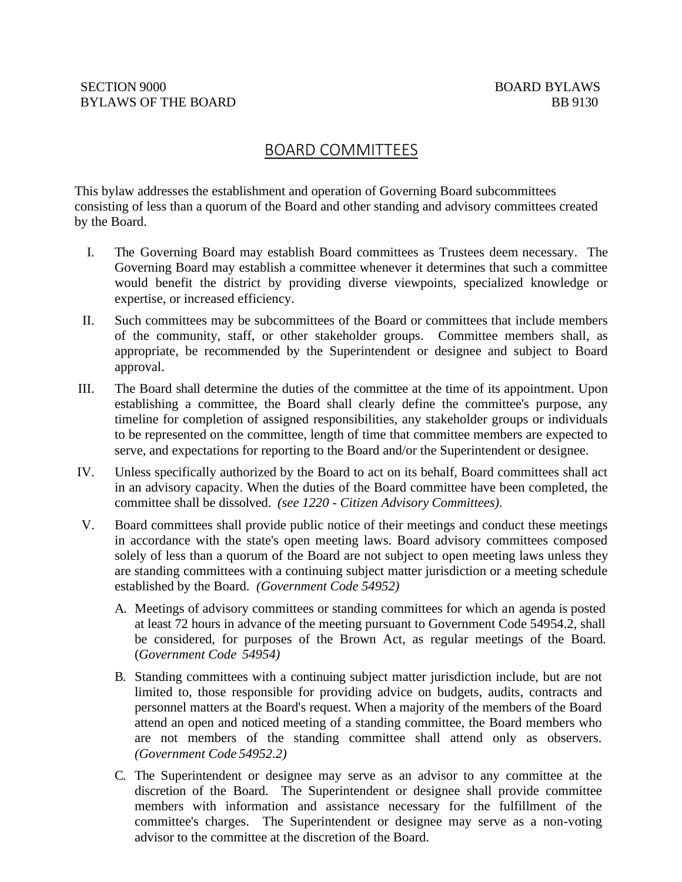# BOARD COMMITTEES

This bylaw addresses the establishment and operation of Governing Board subcommittees consisting of less than a quorum of the Board and other standing and advisory committees created by the Board.

- I. The Governing Board may establish Board committees as Trustees deem necessary. The Governing Board may establish a committee whenever it determines that such a committee would benefit the district by providing diverse viewpoints, specialized knowledge or expertise, or increased efficiency.
- II. Such committees may be subcommittees of the Board or committees that include members of the community, staff, or other stakeholder groups. Committee members shall, as appropriate, be recommended by the Superintendent or designee and subject to Board approval.
- III. The Board shall determine the duties of the committee at the time of its appointment. Upon establishing a committee, the Board shall clearly define the committee's purpose, any timeline for completion of assigned responsibilities, any stakeholder groups or individuals to be represented on the committee, length of time that committee members are expected to serve, and expectations for reporting to the Board and/or the Superintendent or designee.
- IV. Unless specifically authorized by the Board to act on its behalf, Board committees shall act in an advisory capacity. When the duties of the Board committee have been completed, the committee shall be dissolved. *(see 1220 - Citizen Advisory Committees).*
- V. Board committees shall provide public notice of their meetings and conduct these meetings in accordance with the state's open meeting laws. Board advisory committees composed solely of less than a quorum of the Board are not subject to open meeting laws unless they are standing committees with a continuing subject matter jurisdiction or a meeting schedule established by the Board. *(Government Code 54952)*
	- A. Meetings of advisory committees or standing committees for which an agenda is posted at least 72 hours in advance of the meeting pursuant to Government Code 54954.2, shall be considered, for purposes of the Brown Act, as regular meetings of the Board. (*Government Code 54954)*
	- B. Standing committees with a continuing subject matter jurisdiction include, but are not limited to, those responsible for providing advice on budgets, audits, contracts and personnel matters at the Board's request. When a majority of the members of the Board attend an open and noticed meeting of a standing committee, the Board members who are not members of the standing committee shall attend only as observers. *(Government Code 54952.2)*
	- C. The Superintendent or designee may serve as an advisor to any committee at the discretion of the Board. The Superintendent or designee shall provide committee members with information and assistance necessary for the fulfillment of the committee's charges. The Superintendent or designee may serve as a non-voting advisor to the committee at the discretion of the Board.